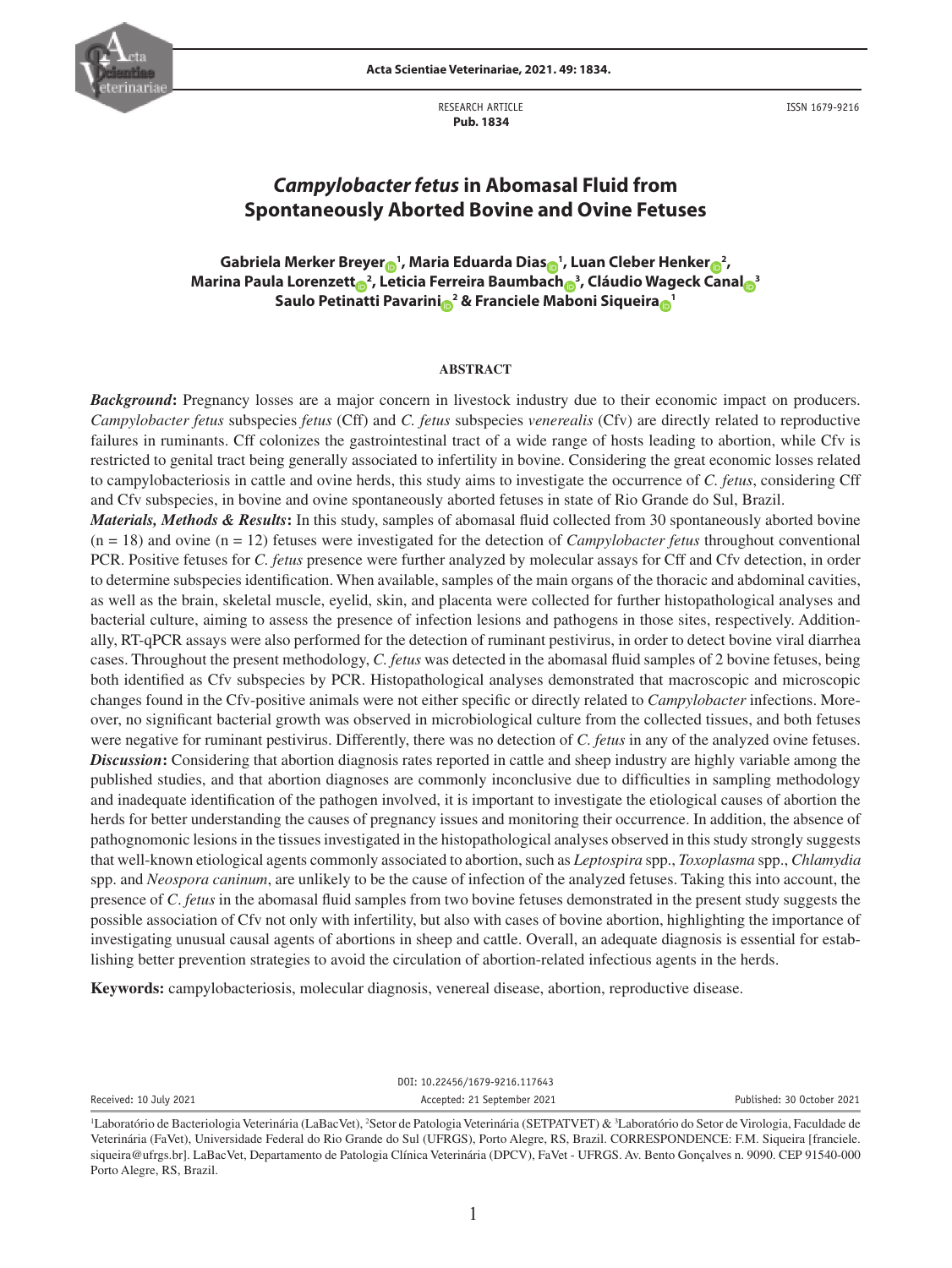

RESEARCH ARTICLE  **Pub. 1834**

ISSN 1679-9216

# *Campylobacter fetus* **in Abomasal Fluid from Spontaneously Aborted Bovine and Ovine Fetuses**

**Gabriela Merker Breye[r](http://orcid.org/0000-0003-0246-4557) <sup>1</sup> , Maria Eduarda Dia[s](http://orcid.org/0000-0003-2018-9528) <sup>1</sup> , Luan Cleber Henke[r](http://orcid.org/0000-0001-6556-2010) <sup>2</sup> , Marina Paula Lorenzet[t](http://orcid.org/0000-0002-9551-3399) <sup>2</sup> , Leticia Ferreira Baumbac[h](http://orcid.org/0000-0002-7852-8804) <sup>3</sup> , Cláudio Wageck Cana[l](https://orcid.org/0000-0002-0621-243X) <sup>3</sup> Saulo Petinatti Pavarin[i](http://orcid.org/0000-0001-8980-6294) <sup>2</sup> & Franciele Maboni Siqueir[a](http://orcid.org/0000-0001-7282-6117) <sup>1</sup>**

# **ABSTRACT**

*Background***:** Pregnancy losses are a major concern in livestock industry due to their economic impact on producers. *Campylobacter fetus* subspecies *fetus* (Cff) and *C. fetus* subspecies *venerealis* (Cfv) are directly related to reproductive failures in ruminants. Cff colonizes the gastrointestinal tract of a wide range of hosts leading to abortion, while Cfv is restricted to genital tract being generally associated to infertility in bovine. Considering the great economic losses related to campylobacteriosis in cattle and ovine herds, this study aims to investigate the occurrence of *C. fetus*, considering Cff and Cfv subspecies, in bovine and ovine spontaneously aborted fetuses in state of Rio Grande do Sul, Brazil.

*Materials, Methods & Results***:** In this study, samples of abomasal fluid collected from 30 spontaneously aborted bovine (n = 18) and ovine (n = 12) fetuses were investigated for the detection of *Campylobacter fetus* throughout conventional PCR. Positive fetuses for *C. fetus* presence were further analyzed by molecular assays for Cff and Cfv detection, in order to determine subspecies identification. When available, samples of the main organs of the thoracic and abdominal cavities, as well as the brain, skeletal muscle, eyelid, skin, and placenta were collected for further histopathological analyses and bacterial culture, aiming to assess the presence of infection lesions and pathogens in those sites, respectively. Additionally, RT-qPCR assays were also performed for the detection of ruminant pestivirus, in order to detect bovine viral diarrhea cases. Throughout the present methodology, *C. fetus* was detected in the abomasal fluid samples of 2 bovine fetuses, being both identified as Cfv subspecies by PCR. Histopathological analyses demonstrated that macroscopic and microscopic changes found in the Cfv-positive animals were not either specific or directly related to *Campylobacter* infections. Moreover, no significant bacterial growth was observed in microbiological culture from the collected tissues, and both fetuses were negative for ruminant pestivirus. Differently, there was no detection of *C. fetus* in any of the analyzed ovine fetuses. *Discussion***:** Considering that abortion diagnosis rates reported in cattle and sheep industry are highly variable among the published studies, and that abortion diagnoses are commonly inconclusive due to difficulties in sampling methodology and inadequate identification of the pathogen involved, it is important to investigate the etiological causes of abortion the herds for better understanding the causes of pregnancy issues and monitoring their occurrence. In addition, the absence of pathognomonic lesions in the tissues investigated in the histopathological analyses observed in this study strongly suggests that well-known etiological agents commonly associated to abortion, such as *Leptospira* spp., *Toxoplasma* spp., *Chlamydia* spp. and *Neospora caninum*, are unlikely to be the cause of infection of the analyzed fetuses. Taking this into account, the presence of *C*. *fetus* in the abomasal fluid samples from two bovine fetuses demonstrated in the present study suggests the possible association of Cfv not only with infertility, but also with cases of bovine abortion, highlighting the importance of investigating unusual causal agents of abortions in sheep and cattle. Overall, an adequate diagnosis is essential for establishing better prevention strategies to avoid the circulation of abortion-related infectious agents in the herds.

**Keywords:** campylobacteriosis, molecular diagnosis, venereal disease, abortion, reproductive disease.

DOI: 10.22456/1679-9216.117643

Received: 10 July 2021 **Accepted: 21 September 2021** Published: 30 October 2021

<sup>&</sup>lt;sup>1</sup>Laboratório de Bacteriologia Veterinária (LaBacVet), <sup>2</sup>Setor de Patologia Veterinária (SETPATVET) & <sup>3</sup>Laboratório do Setor de Virologia, Faculdade de Veterinária (FaVet), Universidade Federal do Rio Grande do Sul (UFRGS), Porto Alegre, RS, Brazil. CORRESPONDENCE: F.M. Siqueira [franciele. siqueira@ufrgs.br]. LaBacVet, Departamento de Patologia Clínica Veterinária (DPCV), FaVet - UFRGS. Av. Bento Gonçalves n. 9090. CEP 91540-000 Porto Alegre, RS, Brazil.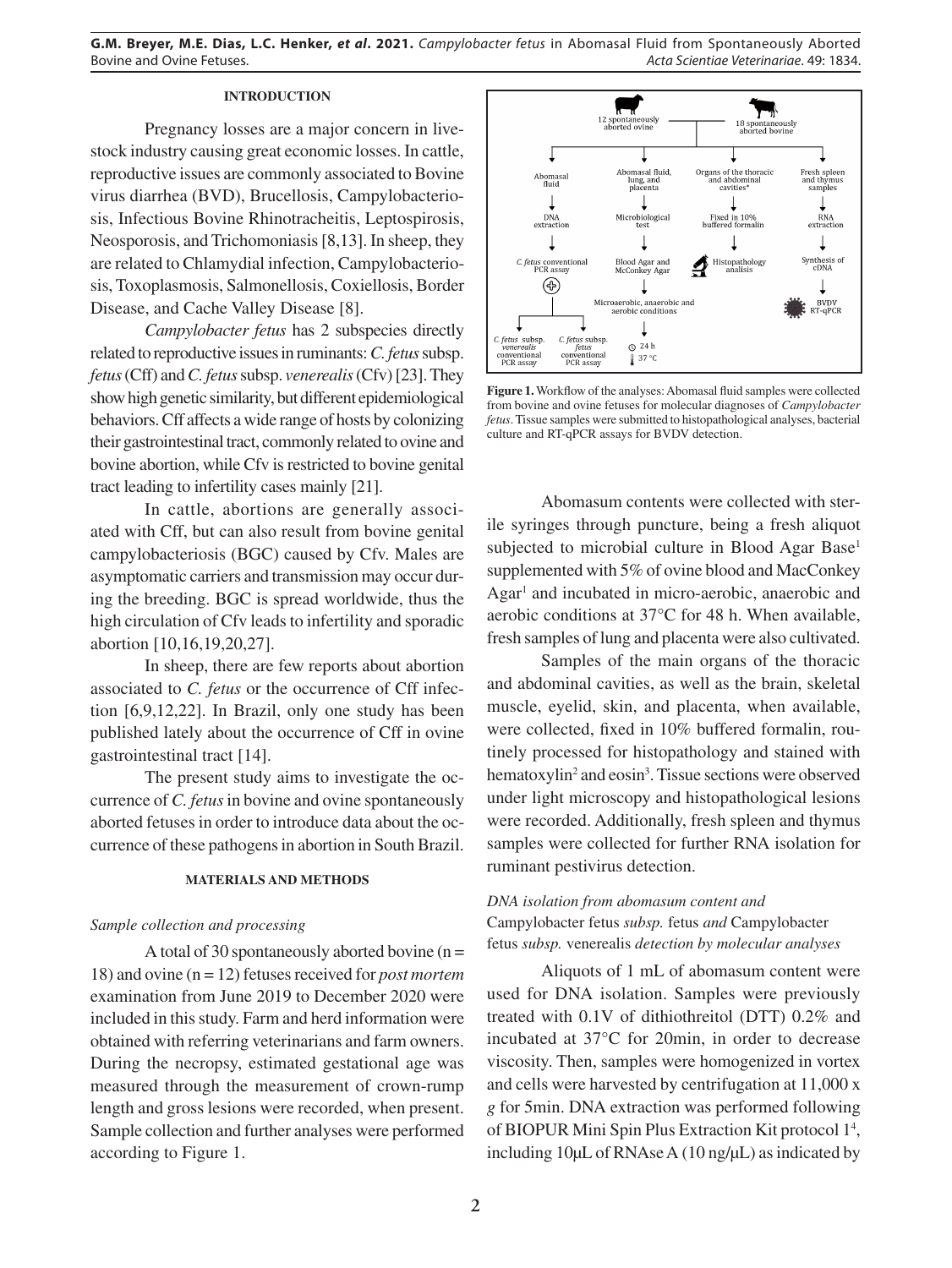# **INTRODUCTION**

Pregnancy losses are a major concern in livestock industry causing great economic losses. In cattle, reproductive issues are commonly associated to Bovine virus diarrhea (BVD), Brucellosis, Campylobacteriosis, Infectious Bovine Rhinotracheitis, Leptospirosis, Neosporosis, and Trichomoniasis [8,13]. In sheep, they are related to Chlamydial infection, Campylobacteriosis, Toxoplasmosis, Salmonellosis, Coxiellosis, Border Disease, and Cache Valley Disease [8].

*Campylobacter fetus* has 2 subspecies directly related to reproductive issues in ruminants: *C. fetus* subsp. *fetus* (Cff) and *C. fetus* subsp. *venerealis* (Cfv) [23]. They show high genetic similarity, but different epidemiological behaviors. Cff affects a wide range of hosts by colonizing their gastrointestinal tract, commonly related to ovine and bovine abortion, while Cfv is restricted to bovine genital tract leading to infertility cases mainly [21].

In cattle, abortions are generally associated with Cff, but can also result from bovine genital campylobacteriosis (BGC) caused by Cfv. Males are asymptomatic carriers and transmission may occur during the breeding. BGC is spread worldwide, thus the high circulation of Cfv leads to infertility and sporadic abortion [10,16,19,20,27].

In sheep, there are few reports about abortion associated to *C. fetus* or the occurrence of Cff infection [6,9,12,22]. In Brazil, only one study has been published lately about the occurrence of Cff in ovine gastrointestinal tract [14].

The present study aims to investigate the occurrence of *C. fetus* in bovine and ovine spontaneously aborted fetuses in order to introduce data about the occurrence of these pathogens in abortion in South Brazil.

## **MATERIALS AND METHODS**

### *Sample collection and processing*

A total of 30 spontaneously aborted bovine  $(n =$ 18) and ovine (n = 12) fetuses received for *post mortem* examination from June 2019 to December 2020 were included in this study. Farm and herd information were obtained with referring veterinarians and farm owners. During the necropsy, estimated gestational age was measured through the measurement of crown-rump length and gross lesions were recorded, when present. Sample collection and further analyses were performed according to Figure 1.



**Figure 1.** Workflow of the analyses: Abomasal fluid samples were collected from bovine and ovine fetuses for molecular diagnoses of *Campylobacter fetus*. Tissue samples were submitted to histopathological analyses, bacterial culture and RT-qPCR assays for BVDV detection.

Abomasum contents were collected with sterile syringes through puncture, being a fresh aliquot subjected to microbial culture in Blood Agar Base<sup>1</sup> supplemented with 5% of ovine blood and MacConkey Agar<sup>1</sup> and incubated in micro-aerobic, anaerobic and aerobic conditions at 37°C for 48 h. When available, fresh samples of lung and placenta were also cultivated.

Samples of the main organs of the thoracic and abdominal cavities, as well as the brain, skeletal muscle, eyelid, skin, and placenta, when available, were collected, fixed in 10% buffered formalin, routinely processed for histopathology and stained with hematoxylin<sup>2</sup> and eosin<sup>3</sup>. Tissue sections were observed under light microscopy and histopathological lesions were recorded. Additionally, fresh spleen and thymus samples were collected for further RNA isolation for ruminant pestivirus detection.

# *DNA isolation from abomasum content and*  Campylobacter fetus *subsp.* fetus *and* Campylobacter fetus *subsp.* venerealis *detection by molecular analyses*

Aliquots of 1 mL of abomasum content were used for DNA isolation. Samples were previously treated with 0.1V of dithiothreitol (DTT) 0.2% and incubated at 37°C for 20min, in order to decrease viscosity. Then, samples were homogenized in vortex and cells were harvested by centrifugation at 11,000 x *g* for 5min. DNA extraction was performed following of BIOPUR Mini Spin Plus Extraction Kit protocol 1<sup>4</sup>, including  $10\mu L$  of RNAse A ( $10 \text{ ng}/\mu L$ ) as indicated by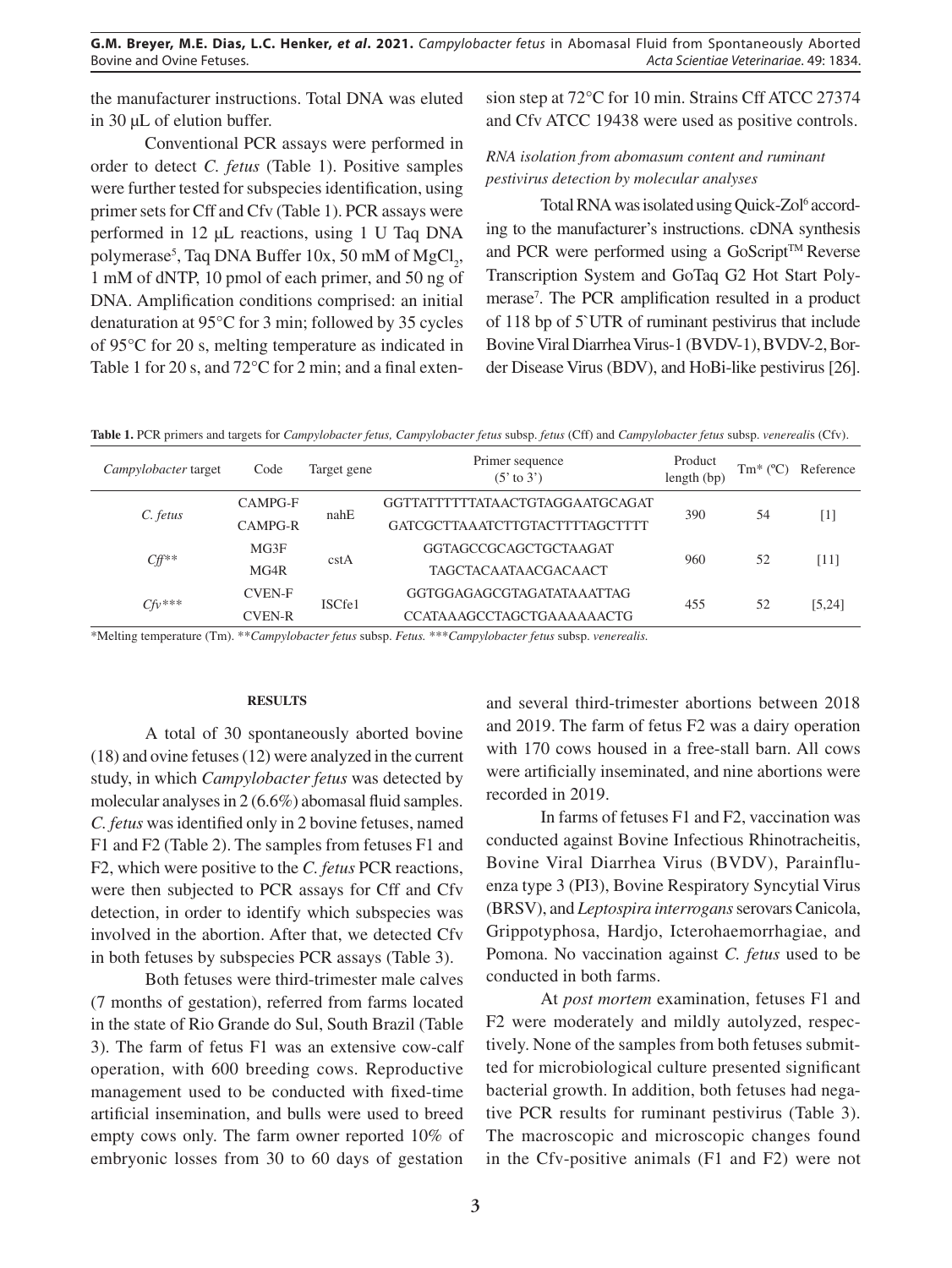the manufacturer instructions. Total DNA was eluted in 30 µL of elution buffer.

Conventional PCR assays were performed in order to detect *C. fetus* (Table 1). Positive samples were further tested for subspecies identification, using primer sets for Cff and Cfv (Table 1). PCR assays were performed in 12 µL reactions, using 1 U Taq DNA polymerase<sup>5</sup>, Taq DNA Buffer 10x, 50 mM of  $MgCl_2$ , 1 mM of dNTP, 10 pmol of each primer, and 50 ng of DNA. Amplification conditions comprised: an initial denaturation at 95°C for 3 min; followed by 35 cycles of 95°C for 20 s, melting temperature as indicated in Table 1 for 20 s, and 72°C for 2 min; and a final extension step at 72°C for 10 min. Strains Cff ATCC 27374 and Cfv ATCC 19438 were used as positive controls.

# *RNA isolation from abomasum content and ruminant pestivirus detection by molecular analyses*

Total RNA was isolated using Quick-Zol<sup>6</sup> according to the manufacturer's instructions. cDNA synthesis and PCR were performed using a GoScript™ Reverse Transcription System and GoTaq G2 Hot Start Polymerase7 . The PCR amplification resulted in a product of 118 bp of 5`UTR of ruminant pestivirus that include Bovine Viral Diarrhea Virus-1 (BVDV-1), BVDV-2, Border Disease Virus (BDV), and HoBi-like pestivirus [26].

**Table 1.** PCR primers and targets for *Campylobacter fetus, Campylobacter fetus* subsp. *fetus* (Cff) and *Campylobacter fetus* subsp. *venereali*s (Cfv).

| Campylobacter target | Code          | Target gene | Primer sequence<br>$(5' \text{ to } 3')$ | Product<br>length (bp) | $Tm^*$ | Reference         |
|----------------------|---------------|-------------|------------------------------------------|------------------------|--------|-------------------|
| C. fetus             | CAMPG-F       | nahE        | GGTTATTTTTTATA ACTGTAGGA ATGCAGAT        | 390                    | 54     | $\lceil 1 \rceil$ |
|                      | CAMPG-R       |             | GATCGCTTA A ATCTTGTACTTTTAGCTTTT         |                        |        |                   |
| $Cff^{**}$           | MG3F          | cstA        | GGTAGCCGCAGCTGCTAAGAT                    | 960                    | 52     | [11]              |
|                      | MG4R          |             | <b>TAGCTACAATAACGACAACT</b>              |                        |        |                   |
| $Cfv***$             | <b>CVEN-F</b> | ISCfe1      | GGTGGAGAGCGTAGATATA A ATTAG              | 455                    | 52     | [5,24]            |
|                      | CVEN-R        |             | CCATAAAGCCTAGCTGAAAAAACTG                |                        |        |                   |

\*Melting temperature (Tm). \*\**Campylobacter fetus* subsp. *Fetus.* \*\*\**Campylobacter fetus* subsp. *venerealis.*

## **RESULTS**

A total of 30 spontaneously aborted bovine (18) and ovine fetuses (12) were analyzed in the current study, in which *Campylobacter fetus* was detected by molecular analyses in 2 (6.6%) abomasal fluid samples. *C. fetus* was identified only in 2 bovine fetuses, named F1 and F2 (Table 2). The samples from fetuses F1 and F2, which were positive to the *C. fetus* PCR reactions, were then subjected to PCR assays for Cff and Cfv detection, in order to identify which subspecies was involved in the abortion. After that, we detected Cfv in both fetuses by subspecies PCR assays (Table 3).

Both fetuses were third-trimester male calves (7 months of gestation), referred from farms located in the state of Rio Grande do Sul, South Brazil (Table 3). The farm of fetus F1 was an extensive cow-calf operation, with 600 breeding cows. Reproductive management used to be conducted with fixed-time artificial insemination, and bulls were used to breed empty cows only. The farm owner reported 10% of embryonic losses from 30 to 60 days of gestation

and several third-trimester abortions between 2018 and 2019. The farm of fetus F2 was a dairy operation with 170 cows housed in a free-stall barn. All cows were artificially inseminated, and nine abortions were recorded in 2019.

In farms of fetuses F1 and F2, vaccination was conducted against Bovine Infectious Rhinotracheitis, Bovine Viral Diarrhea Virus (BVDV), Parainfluenza type 3 (PI3), Bovine Respiratory Syncytial Virus (BRSV), and *Leptospira interrogans* serovars Canicola, Grippotyphosa, Hardjo, Icterohaemorrhagiae, and Pomona. No vaccination against *C. fetus* used to be conducted in both farms.

At *post mortem* examination, fetuses F1 and F2 were moderately and mildly autolyzed, respectively. None of the samples from both fetuses submitted for microbiological culture presented significant bacterial growth. In addition, both fetuses had negative PCR results for ruminant pestivirus (Table 3). The macroscopic and microscopic changes found in the Cfv-positive animals (F1 and F2) were not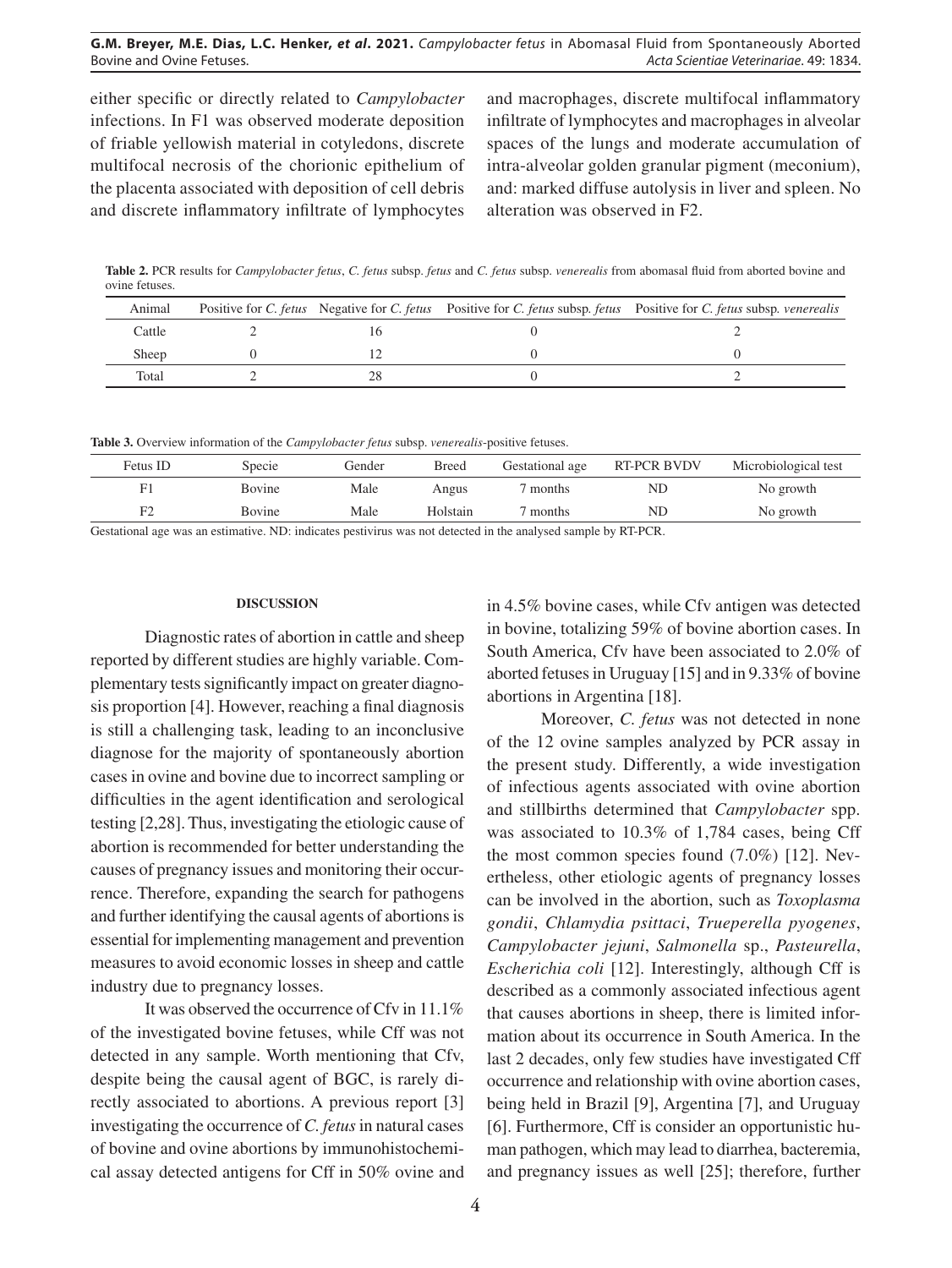either specific or directly related to *Campylobacter* infections. In F1 was observed moderate deposition of friable yellowish material in cotyledons, discrete multifocal necrosis of the chorionic epithelium of the placenta associated with deposition of cell debris and discrete inflammatory infiltrate of lymphocytes

and macrophages, discrete multifocal inflammatory infiltrate of lymphocytes and macrophages in alveolar spaces of the lungs and moderate accumulation of intra-alveolar golden granular pigment (meconium), and: marked diffuse autolysis in liver and spleen. No alteration was observed in F2.

**Table 2.** PCR results for *Campylobacter fetus*, *C. fetus* subsp. *fetus* and *C. fetus* subsp. *venerealis* from abomasal fluid from aborted bovine and ovine fetuses.

| Animal |  | Positive for C. fetus Negative for C. fetus Positive for C. fetus subsp. fetus Positive for C. fetus subsp. venerealis |
|--------|--|------------------------------------------------------------------------------------------------------------------------|
| Cattle |  |                                                                                                                        |
| Sheep  |  |                                                                                                                        |
| Total  |  |                                                                                                                        |

**Table 3.** Overview information of the *Campylobacter fetus* subsp. *venerealis*-positive fetuses.

|          | . .    |        |          |                 |                    |                      |  |
|----------|--------|--------|----------|-----------------|--------------------|----------------------|--|
| Fetus ID | Specie | Gender | Breed    | Gestational age | <b>RT-PCR BVDV</b> | Microbiological test |  |
|          | Bovine | Male   | Angus    | months          | ND                 | No growth            |  |
|          | Bovine | Male   | Holstain | months          | ND                 | No growth            |  |
|          | .      |        |          |                 | _________          |                      |  |

Gestational age was an estimative. ND: indicates pestivirus was not detected in the analysed sample by RT-PCR.

#### **DISCUSSION**

Diagnostic rates of abortion in cattle and sheep reported by different studies are highly variable. Complementary tests significantly impact on greater diagnosis proportion [4]. However, reaching a final diagnosis is still a challenging task, leading to an inconclusive diagnose for the majority of spontaneously abortion cases in ovine and bovine due to incorrect sampling or difficulties in the agent identification and serological testing [2,28]. Thus, investigating the etiologic cause of abortion is recommended for better understanding the causes of pregnancy issues and monitoring their occurrence. Therefore, expanding the search for pathogens and further identifying the causal agents of abortions is essential for implementing management and prevention measures to avoid economic losses in sheep and cattle industry due to pregnancy losses.

It was observed the occurrence of Cfv in 11.1% of the investigated bovine fetuses, while Cff was not detected in any sample. Worth mentioning that Cfv, despite being the causal agent of BGC, is rarely directly associated to abortions. A previous report [3] investigating the occurrence of *C. fetus* in natural cases of bovine and ovine abortions by immunohistochemical assay detected antigens for Cff in 50% ovine and in 4.5% bovine cases, while Cfv antigen was detected in bovine, totalizing 59% of bovine abortion cases. In South America, Cfv have been associated to 2.0% of aborted fetuses in Uruguay [15] and in 9.33% of bovine abortions in Argentina [18].

Moreover, *C. fetus* was not detected in none of the 12 ovine samples analyzed by PCR assay in the present study. Differently, a wide investigation of infectious agents associated with ovine abortion and stillbirths determined that *Campylobacter* spp. was associated to 10.3% of 1,784 cases, being Cff the most common species found (7.0%) [12]. Nevertheless, other etiologic agents of pregnancy losses can be involved in the abortion, such as *Toxoplasma gondii*, *Chlamydia psittaci*, *Trueperella pyogenes*, *Campylobacter jejuni*, *Salmonella* sp., *Pasteurella*, *Escherichia coli* [12]. Interestingly, although Cff is described as a commonly associated infectious agent that causes abortions in sheep, there is limited information about its occurrence in South America. In the last 2 decades, only few studies have investigated Cff occurrence and relationship with ovine abortion cases, being held in Brazil [9], Argentina [7], and Uruguay [6]. Furthermore, Cff is consider an opportunistic human pathogen, which may lead to diarrhea, bacteremia, and pregnancy issues as well [25]; therefore, further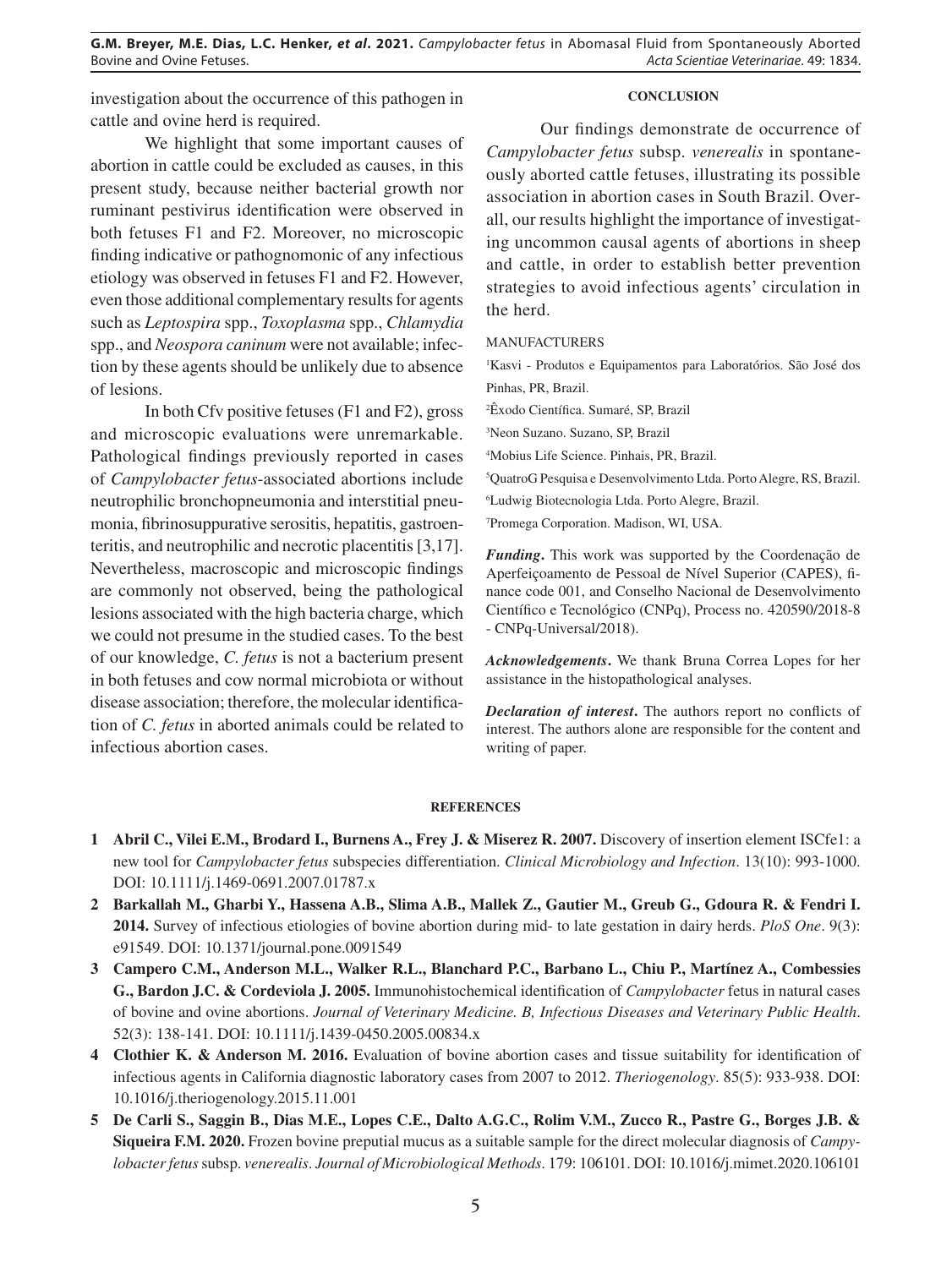investigation about the occurrence of this pathogen in cattle and ovine herd is required.

## **CONCLUSION**

We highlight that some important causes of abortion in cattle could be excluded as causes, in this present study, because neither bacterial growth nor ruminant pestivirus identification were observed in both fetuses F1 and F2. Moreover, no microscopic finding indicative or pathognomonic of any infectious etiology was observed in fetuses F1 and F2. However, even those additional complementary results for agents such as *Leptospira* spp., *Toxoplasma* spp., *Chlamydia* spp., and *Neospora caninum* were not available; infection by these agents should be unlikely due to absence of lesions.

In both Cfv positive fetuses (F1 and F2), gross and microscopic evaluations were unremarkable. Pathological findings previously reported in cases of *Campylobacter fetus*-associated abortions include neutrophilic bronchopneumonia and interstitial pneumonia, fibrinosuppurative serositis, hepatitis, gastroenteritis, and neutrophilic and necrotic placentitis [3,17]. Nevertheless, macroscopic and microscopic findings are commonly not observed, being the pathological lesions associated with the high bacteria charge, which we could not presume in the studied cases. To the best of our knowledge, *C. fetus* is not a bacterium present in both fetuses and cow normal microbiota or without disease association; therefore, the molecular identification of *C. fetus* in aborted animals could be related to infectious abortion cases.

Our findings demonstrate de occurrence of *Campylobacter fetus* subsp. *venerealis* in spontaneously aborted cattle fetuses, illustrating its possible association in abortion cases in South Brazil. Overall, our results highlight the importance of investigating uncommon causal agents of abortions in sheep and cattle, in order to establish better prevention strategies to avoid infectious agents' circulation in the herd.

MANUFACTURERS

1 Kasvi - Produtos e Equipamentos para Laboratórios. São José dos Pinhas, PR, Brazil.

2 Êxodo Científica. Sumaré, SP, Brazil

3 Neon Suzano. Suzano, SP, Brazil

4 Mobius Life Science. Pinhais, PR, Brazil.

5 QuatroG Pesquisa e Desenvolvimento Ltda. Porto Alegre, RS, Brazil.

6 Ludwig Biotecnologia Ltda. Porto Alegre, Brazil.

7 Promega Corporation. Madison, WI, USA.

*Funding***.** This work was supported by the Coordenação de Aperfeiçoamento de Pessoal de Nível Superior (CAPES), finance code 001, and Conselho Nacional de Desenvolvimento Científico e Tecnológico (CNPq), Process no. 420590/2018-8 - CNPq-Universal/2018).

*Acknowledgements***.** We thank Bruna Correa Lopes for her assistance in the histopathological analyses.

*Declaration of interest***.** The authors report no conflicts of interest. The authors alone are responsible for the content and writing of paper.

#### **REFERENCES**

- **1 Abril C., Vilei E.M., Brodard I., Burnens A., Frey J. & Miserez R. 2007.** Discovery of insertion element ISCfe1: a new tool for *Campylobacter fetus* subspecies differentiation. *Clinical Microbiology and Infection*. 13(10): 993-1000. DOI: 10.1111/j.1469-0691.2007.01787.x
- **2 Barkallah M., Gharbi Y., Hassena A.B., Slima A.B., Mallek Z., Gautier M., Greub G., Gdoura R. & Fendri I. 2014.** Survey of infectious etiologies of bovine abortion during mid- to late gestation in dairy herds. *PloS One*. 9(3): e91549. DOI: 10.1371/journal.pone.0091549
- **3 Campero C.M., Anderson M.L., Walker R.L., Blanchard P.C., Barbano L., Chiu P., Martínez A., Combessies G., Bardon J.C. & Cordeviola J. 2005.** Immunohistochemical identification of *Campylobacter* fetus in natural cases of bovine and ovine abortions. *Journal of Veterinary Medicine. B, Infectious Diseases and Veterinary Public Health*. 52(3): 138-141. DOI: 10.1111/j.1439-0450.2005.00834.x
- **4 Clothier K. & Anderson M. 2016.** Evaluation of bovine abortion cases and tissue suitability for identification of infectious agents in California diagnostic laboratory cases from 2007 to 2012. *Theriogenology*. 85(5): 933-938. DOI: 10.1016/j.theriogenology.2015.11.001
- **5 De Carli S., Saggin B., Dias M.E., Lopes C.E., Dalto A.G.C., Rolim V.M., Zucco R., Pastre G., Borges J.B. & Siqueira F.M. 2020.** Frozen bovine preputial mucus as a suitable sample for the direct molecular diagnosis of *Campylobacterfetus* subsp. *venerealis*. *Journal of Microbiological Methods*. 179: 106101. DOI: 10.1016/j.mimet.2020.106101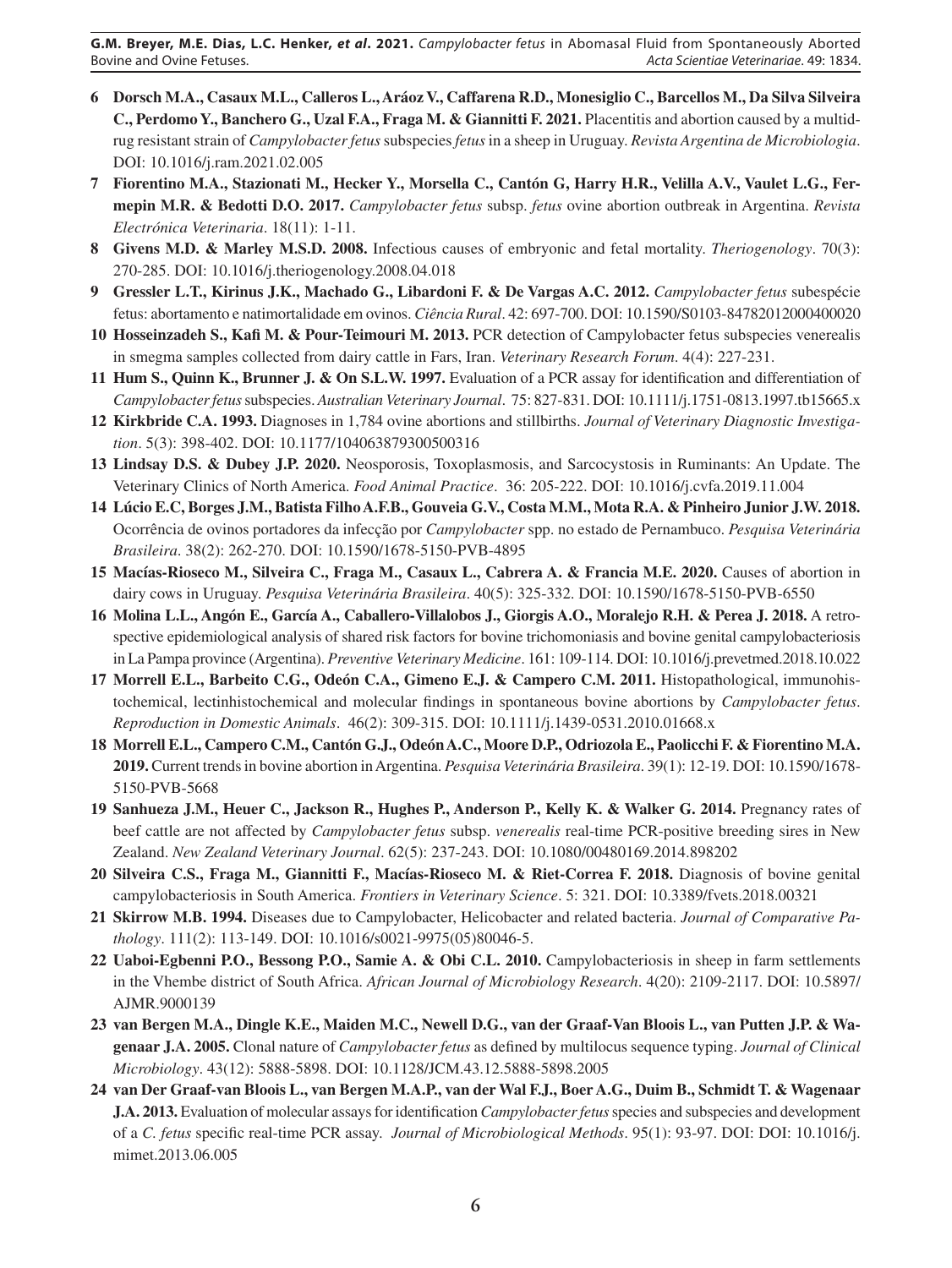- **6 Dorsch M.A., Casaux M.L., Calleros L., Aráoz V., Caffarena R.D., Monesiglio C., Barcellos M., Da Silva Silveira C., Perdomo Y., Banchero G., Uzal F.A., Fraga M. & Giannitti F. 2021.** Placentitis and abortion caused by a multidrug resistant strain of *Campylobacterfetus* subspecies *fetus* in a sheep in Uruguay. *Revista Argentina de Microbiologia*. DOI: 10.1016/j.ram.2021.02.005
- **7 Fiorentino M.A., Stazionati M., Hecker Y., Morsella C., Cantón G, Harry H.R., Velilla A.V., Vaulet L.G., Fermepin M.R. & Bedotti D.O. 2017.** *Campylobacter fetus* subsp. *fetus* ovine abortion outbreak in Argentina. *Revista Electrónica Veterinaria*. 18(11): 1-11.
- **8 Givens M.D. & Marley M.S.D. 2008.** Infectious causes of embryonic and fetal mortality. *Theriogenology*. 70(3): 270-285. DOI: 10.1016/j.theriogenology.2008.04.018
- **9 Gressler L.T., Kirinus J.K., Machado G., Libardoni F. & De Vargas A.C. 2012.** *Campylobacter fetus* subespécie fetus: abortamento e natimortalidade em ovinos. *Ciência Rural*. 42: 697-700. DOI: 10.1590/S0103-84782012000400020
- **10 Hosseinzadeh S., Kafi M. & Pour-Teimouri M. 2013.** PCR detection of Campylobacter fetus subspecies venerealis in smegma samples collected from dairy cattle in Fars, Iran. *Veterinary Research Forum*. 4(4): 227-231.
- **11 Hum S., Quinn K., Brunner J. & On S.L.W. 1997.** Evaluation of a PCR assay for identification and differentiation of *Campylobacterfetus* subspecies. *Australian Veterinary Journal*. 75: 827-831. DOI: 10.1111/j.1751-0813.1997.tb15665.x
- **12 Kirkbride C.A. 1993.** Diagnoses in 1,784 ovine abortions and stillbirths. *Journal of Veterinary Diagnostic Investigation*. 5(3): 398-402. DOI: 10.1177/104063879300500316
- **13 Lindsay D.S. & Dubey J.P. 2020.** Neosporosis, Toxoplasmosis, and Sarcocystosis in Ruminants: An Update. The Veterinary Clinics of North America. *Food Animal Practice*. 36: 205-222. DOI: 10.1016/j.cvfa.2019.11.004
- **14 Lúcio E.C, Borges J.M., Batista Filho A.F.B., Gouveia G.V., Costa M.M., Mota R.A. & Pinheiro Junior J.W. 2018.**  Ocorrência de ovinos portadores da infecção por *Campylobacter* spp. no estado de Pernambuco. *Pesquisa Veterinária Brasileira*. 38(2): 262-270. DOI: 10.1590/1678-5150-PVB-4895
- **15 Macías-Rioseco M., Silveira C., Fraga M., Casaux L., Cabrera A. & Francia M.E. 2020.** Causes of abortion in dairy cows in Uruguay. *Pesquisa Veterinária Brasileira*. 40(5): 325-332. DOI: 10.1590/1678-5150-PVB-6550
- **16 Molina L.L., Angón E., García A., Caballero-Villalobos J., Giorgis A.O., Moralejo R.H. & Perea J. 2018.** A retrospective epidemiological analysis of shared risk factors for bovine trichomoniasis and bovine genital campylobacteriosis in La Pampa province (Argentina). *Preventive Veterinary Medicine*. 161: 109-114. DOI: 10.1016/j.prevetmed.2018.10.022
- **17 Morrell E.L., Barbeito C.G., Odeón C.A., Gimeno E.J. & Campero C.M. 2011.** Histopathological, immunohistochemical, lectinhistochemical and molecular findings in spontaneous bovine abortions by *Campylobacter fetus*. *Reproduction in Domestic Animals*. 46(2): 309-315. DOI: 10.1111/j.1439-0531.2010.01668.x
- **18 Morrell E.L., Campero C.M., Cantón G.J., Odeón A.C., Moore D.P., Odriozola E., Paolicchi F. & Fiorentino M.A. 2019.** Current trends in bovine abortion in Argentina. *Pesquisa Veterinária Brasileira*. 39(1): 12-19. DOI: 10.1590/1678- 5150-PVB-5668
- **19 Sanhueza J.M., Heuer C., Jackson R., Hughes P., Anderson P., Kelly K. & Walker G. 2014.** Pregnancy rates of beef cattle are not affected by *Campylobacter fetus* subsp. *venerealis* real-time PCR-positive breeding sires in New Zealand. *New Zealand Veterinary Journal*. 62(5): 237-243. DOI: 10.1080/00480169.2014.898202
- **20 Silveira C.S., Fraga M., Giannitti F., Macías-Rioseco M. & Riet-Correa F. 2018.** Diagnosis of bovine genital campylobacteriosis in South America. *Frontiers in Veterinary Science*. 5: 321. DOI: 10.3389/fvets.2018.00321
- **21 Skirrow M.B. 1994.** Diseases due to Campylobacter, Helicobacter and related bacteria. *Journal of Comparative Pathology*. 111(2): 113-149. DOI: 10.1016/s0021-9975(05)80046-5.
- **22 Uaboi-Egbenni P.O., Bessong P.O., Samie A. & Obi C.L. 2010.** Campylobacteriosis in sheep in farm settlements in the Vhembe district of South Africa. *African Journal of Microbiology Research*. 4(20): 2109-2117. DOI: 10.5897/ AJMR.9000139
- **23 van Bergen M.A., Dingle K.E., Maiden M.C., Newell D.G., van der Graaf-Van Bloois L., van Putten J.P. & Wagenaar J.A. 2005.** Clonal nature of *Campylobacter fetus* as defined by multilocus sequence typing. *Journal of Clinical Microbiology*. 43(12): 5888-5898. DOI: 10.1128/JCM.43.12.5888-5898.2005
- **24 van Der Graaf-van Bloois L., van Bergen M.A.P., van der Wal F.J., Boer A.G., Duim B., Schmidt T. & Wagenaar J.A. 2013.** Evaluation of molecular assays for identification *Campylobacterfetus* species and subspecies and development of a *C. fetus* specific real-time PCR assay. *Journal of Microbiological Methods*. 95(1): 93-97. DOI: DOI: 10.1016/j. mimet.2013.06.005